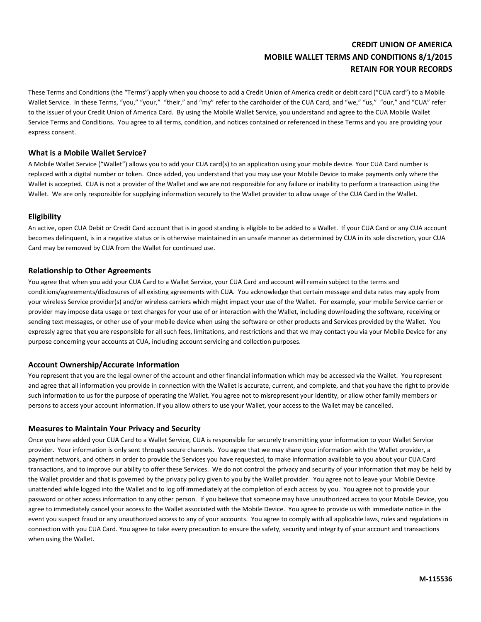# **CREDIT UNION OF AMERICA MOBILE WALLET TERMS AND CONDITIONS 8/1/2015 RETAIN FOR YOUR RECORDS**

These Terms and Conditions (the "Terms") apply when you choose to add a Credit Union of America credit or debit card ("CUA card") to a Mobile Wallet Service. In these Terms, "you," "your," "their," and "my" refer to the cardholder of the CUA Card, and "we," "us," "our," and "CUA" refer to the issuer of your Credit Union of America Card. By using the Mobile Wallet Service, you understand and agree to the CUA Mobile Wallet Service Terms and Conditions. You agree to all terms, condition, and notices contained or referenced in these Terms and you are providing your express consent.

### **What is a Mobile Wallet Service?**

A Mobile Wallet Service ("Wallet") allows you to add your CUA card(s) to an application using your mobile device. Your CUA Card number is replaced with a digital number or token. Once added, you understand that you may use your Mobile Device to make payments only where the Wallet is accepted. CUA is not a provider of the Wallet and we are not responsible for any failure or inability to perform a transaction using the Wallet. We are only responsible for supplying information securely to the Wallet provider to allow usage of the CUA Card in the Wallet.

### **Eligibility**

An active, open CUA Debit or Credit Card account that is in good standing is eligible to be added to a Wallet. If your CUA Card or any CUA account becomes delinquent, is in a negative status or is otherwise maintained in an unsafe manner as determined by CUA in its sole discretion, your CUA Card may be removed by CUA from the Wallet for continued use.

### **Relationship to Other Agreements**

You agree that when you add your CUA Card to a Wallet Service, your CUA Card and account will remain subject to the terms and conditions/agreements/disclosures of all existing agreements with CUA. You acknowledge that certain message and data rates may apply from your wireless Service provider(s) and/or wireless carriers which might impact your use of the Wallet. For example, your mobile Service carrier or provider may impose data usage or text charges for your use of or interaction with the Wallet, including downloading the software, receiving or sending text messages, or other use of your mobile device when using the software or other products and Services provided by the Wallet. You expressly agree that you are responsible for all such fees, limitations, and restrictions and that we may contact you via your Mobile Device for any purpose concerning your accounts at CUA, including account servicing and collection purposes.

### **Account Ownership/Accurate Information**

You represent that you are the legal owner of the account and other financial information which may be accessed via the Wallet. You represent and agree that all information you provide in connection with the Wallet is accurate, current, and complete, and that you have the right to provide such information to us for the purpose of operating the Wallet. You agree not to misrepresent your identity, or allow other family members or persons to access your account information. If you allow others to use your Wallet, your access to the Wallet may be cancelled.

### **Measures to Maintain Your Privacy and Security**

Once you have added your CUA Card to a Wallet Service, CUA is responsible for securely transmitting your information to your Wallet Service provider. Your information is only sent through secure channels. You agree that we may share your information with the Wallet provider, a payment network, and others in order to provide the Services you have requested, to make information available to you about your CUA Card transactions, and to improve our ability to offer these Services. We do not control the privacy and security of your information that may be held by the Wallet provider and that is governed by the privacy policy given to you by the Wallet provider. You agree not to leave your Mobile Device unattended while logged into the Wallet and to log off immediately at the completion of each access by you. You agree not to provide your password or other access information to any other person. If you believe that someone may have unauthorized access to your Mobile Device, you agree to immediately cancel your access to the Wallet associated with the Mobile Device. You agree to provide us with immediate notice in the event you suspect fraud or any unauthorized access to any of your accounts. You agree to comply with all applicable laws, rules and regulations in connection with you CUA Card. You agree to take every precaution to ensure the safety, security and integrity of your account and transactions when using the Wallet.